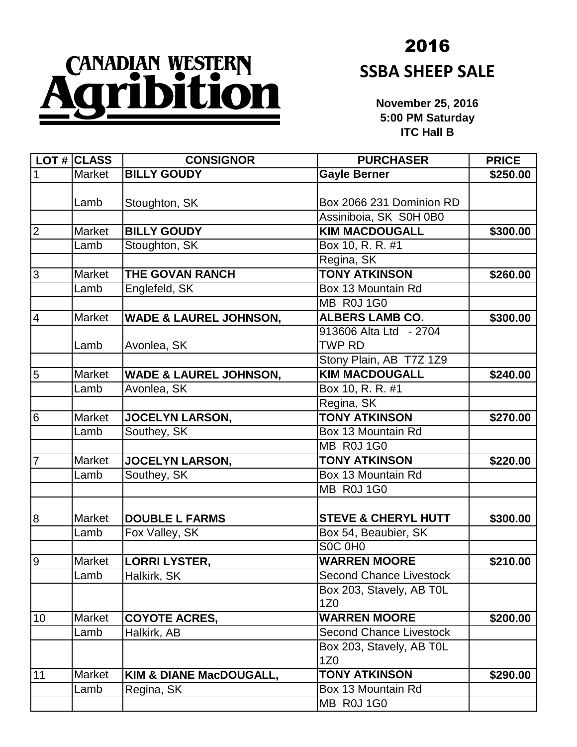## CANADIAN WESTERN n

## 2016 **SSBA SHEEP SALE**

**November 25, 2016 5:00 PM Saturday ITC Hall B**

|                         | $LOT$ # CLASS | <b>CONSIGNOR</b>                  | <b>PURCHASER</b>               | <b>PRICE</b> |
|-------------------------|---------------|-----------------------------------|--------------------------------|--------------|
| 1                       | <b>Market</b> | <b>BILLY GOUDY</b>                | <b>Gayle Berner</b>            | \$250.00     |
|                         |               |                                   |                                |              |
|                         | Lamb          | Stoughton, SK                     | Box 2066 231 Dominion RD       |              |
|                         |               |                                   | Assiniboia, SK S0H 0B0         |              |
| $\mathbf 2$             | <b>Market</b> | <b>BILLY GOUDY</b>                | <b>KIM MACDOUGALL</b>          | \$300.00     |
|                         | Lamb          | Stoughton, SK                     | Box 10, R. R. #1               |              |
|                         |               |                                   | Regina, SK                     |              |
| 3                       | <b>Market</b> | THE GOVAN RANCH                   | <b>TONY ATKINSON</b>           | \$260.00     |
|                         | Lamb          | Englefeld, SK                     | Box 13 Mountain Rd             |              |
|                         |               |                                   | MB R0J 1G0                     |              |
| $\overline{\mathbf{4}}$ | <b>Market</b> | <b>WADE &amp; LAUREL JOHNSON,</b> | <b>ALBERS LAMB CO.</b>         | \$300.00     |
|                         |               |                                   | 913606 Alta Ltd - 2704         |              |
|                         | Lamb          | Avonlea, SK                       | <b>TWP RD</b>                  |              |
|                         |               |                                   | Stony Plain, AB T7Z 1Z9        |              |
| $\overline{5}$          | <b>Market</b> | <b>WADE &amp; LAUREL JOHNSON,</b> | <b>KIM MACDOUGALL</b>          | \$240.00     |
|                         | Lamb          | Avonlea, SK                       | Box 10, R. R. #1               |              |
|                         |               |                                   | Regina, SK                     |              |
| 6                       | Market        | <b>JOCELYN LARSON,</b>            | <b>TONY ATKINSON</b>           | \$270.00     |
|                         | Lamb          | Southey, SK                       | Box 13 Mountain Rd             |              |
|                         |               |                                   | MB R0J 1G0                     |              |
| $\overline{7}$          | Market        | <b>JOCELYN LARSON,</b>            | <b>TONY ATKINSON</b>           | \$220.00     |
|                         | Lamb          | Southey, SK                       | Box 13 Mountain Rd             |              |
|                         |               |                                   | MB R0J 1G0                     |              |
|                         |               |                                   |                                |              |
| 8                       | <b>Market</b> | <b>DOUBLE L FARMS</b>             | <b>STEVE &amp; CHERYL HUTT</b> | \$300.00     |
|                         | Lamb          | Fox Valley, SK                    | Box 54, Beaubier, SK           |              |
|                         |               |                                   | SOC OHO                        |              |
| $\overline{9}$          | Market        | <b>LORRI LYSTER,</b>              | <b>WARREN MOORE</b>            | \$210.00     |
|                         | Lamb          | Halkirk, SK                       | <b>Second Chance Livestock</b> |              |
|                         |               |                                   | Box 203, Stavely, AB TOL       |              |
|                         |               |                                   | 1Z <sub>0</sub>                |              |
| 10                      | Market        | <b>COYOTE ACRES,</b>              | <b>WARREN MOORE</b>            | \$200.00     |
|                         | Lamb          | Halkirk, AB                       | <b>Second Chance Livestock</b> |              |
|                         |               |                                   | Box 203, Stavely, AB TOL       |              |
|                         |               |                                   | 1Z <sub>0</sub>                |              |
| 11                      | Market        | KIM & DIANE MacDOUGALL,           | <b>TONY ATKINSON</b>           | \$290.00     |
|                         | Lamb          | Regina, SK                        | Box 13 Mountain Rd             |              |
|                         |               |                                   | MB ROJ 1G0                     |              |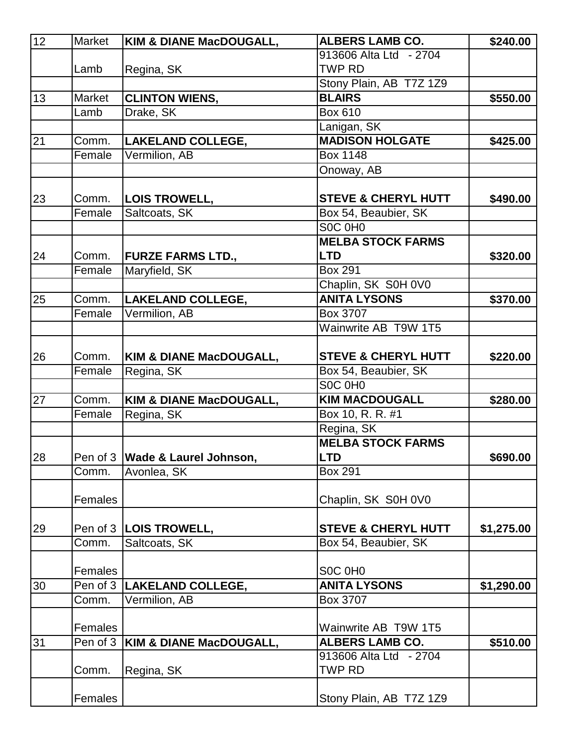| 12 | Market     | <b>KIM &amp; DIANE MacDOUGALL,</b> | <b>ALBERS LAMB CO.</b>         | \$240.00   |
|----|------------|------------------------------------|--------------------------------|------------|
|    |            |                                    | 913606 Alta Ltd - 2704         |            |
|    | Lamb       | Regina, SK                         | <b>TWP RD</b>                  |            |
|    |            |                                    | Stony Plain, AB T7Z 1Z9        |            |
| 13 | Market     | <b>CLINTON WIENS,</b>              | <b>BLAIRS</b>                  | \$550.00   |
|    | Lamb       | Drake, SK                          | <b>Box 610</b>                 |            |
|    |            |                                    | Lanigan, SK                    |            |
| 21 | Comm.      | <b>LAKELAND COLLEGE,</b>           | <b>MADISON HOLGATE</b>         | \$425.00   |
|    | Female     | Vermilion, AB                      | <b>Box 1148</b>                |            |
|    |            |                                    | Onoway, AB                     |            |
| 23 | Comm.      | <b>LOIS TROWELL,</b>               | <b>STEVE &amp; CHERYL HUTT</b> | \$490.00   |
|    | Female     | Saltcoats, SK                      | Box 54, Beaubier, SK           |            |
|    |            |                                    | SOC OHO                        |            |
|    |            |                                    | <b>MELBA STOCK FARMS</b>       |            |
| 24 | Comm.      | <b>FURZE FARMS LTD.,</b>           | <b>LTD</b>                     | \$320.00   |
|    | Female     | Maryfield, SK                      | <b>Box 291</b>                 |            |
|    |            |                                    | Chaplin, SK S0H 0V0            |            |
| 25 | Comm.      | <b>LAKELAND COLLEGE,</b>           | <b>ANITA LYSONS</b>            | \$370.00   |
|    | Female     | Vermilion, AB                      | Box 3707                       |            |
|    |            |                                    | Wainwrite AB T9W 1T5           |            |
|    |            |                                    |                                |            |
| 26 | Comm.      | <b>KIM &amp; DIANE MacDOUGALL,</b> | <b>STEVE &amp; CHERYL HUTT</b> | \$220.00   |
|    | Female     | Regina, SK                         | Box 54, Beaubier, SK           |            |
|    |            |                                    | SOC OHO                        |            |
| 27 | Comm.      | KIM & DIANE MacDOUGALL,            | <b>KIM MACDOUGALL</b>          | \$280.00   |
|    | Female     | Regina, SK                         | Box 10, R. R. #1               |            |
|    |            |                                    | Regina, SK                     |            |
|    |            |                                    | <b>MELBA STOCK FARMS</b>       |            |
| 28 |            | Pen of 3   Wade & Laurel Johnson,  | <b>LTD</b>                     | \$690.00   |
|    | Comm.      | Avonlea, SK                        | <b>Box 291</b>                 |            |
|    |            |                                    |                                |            |
|    | Females    |                                    | Chaplin, SK S0H 0V0            |            |
|    |            |                                    |                                |            |
| 29 |            | Pen of 3   LOIS TROWELL,           | <b>STEVE &amp; CHERYL HUTT</b> | \$1,275.00 |
|    | Comm.      | Saltcoats, SK                      | Box 54, Beaubier, SK           |            |
|    |            |                                    |                                |            |
|    | Females    |                                    | SOC OHO                        |            |
| 30 | Pen of $3$ | <b>LAKELAND COLLEGE,</b>           | <b>ANITA LYSONS</b>            | \$1,290.00 |
|    | Comm.      | Vermilion, AB                      | Box 3707                       |            |
|    | Females    |                                    | Wainwrite AB T9W 1T5           |            |
| 31 | Pen of 3   | KIM & DIANE MacDOUGALL,            | <b>ALBERS LAMB CO.</b>         | \$510.00   |
|    |            |                                    | 913606 Alta Ltd - 2704         |            |
|    | Comm.      | Regina, SK                         | TWP RD                         |            |
|    |            |                                    |                                |            |
|    | Females    |                                    | Stony Plain, AB T7Z 1Z9        |            |
|    |            |                                    |                                |            |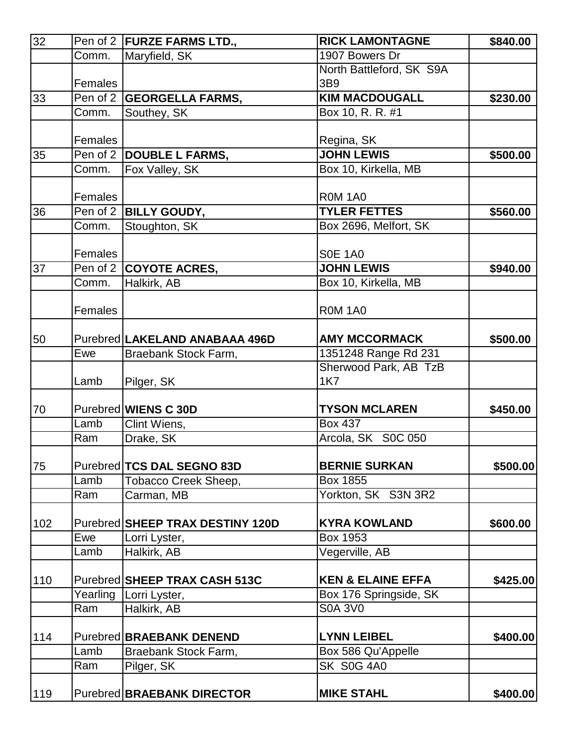| 32  |          | Pen of 2   FURZE FARMS LTD.,     | <b>RICK LAMONTAGNE</b>       | \$840.00 |
|-----|----------|----------------------------------|------------------------------|----------|
|     | Comm.    | Maryfield, SK                    | 1907 Bowers Dr               |          |
|     |          |                                  | North Battleford, SK S9A     |          |
|     | Females  |                                  | 3B9                          |          |
| 33  |          | Pen of 2 GEORGELLA FARMS,        | <b>KIM MACDOUGALL</b>        | \$230.00 |
|     | Comm.    | Southey, SK                      | Box 10, R. R. #1             |          |
|     |          |                                  |                              |          |
|     | Females  |                                  | Regina, SK                   |          |
| 35  |          | Pen of 2   DOUBLE L FARMS,       | <b>JOHN LEWIS</b>            | \$500.00 |
|     | Comm.    | Fox Valley, SK                   | Box 10, Kirkella, MB         |          |
|     | Females  |                                  | <b>R0M 1A0</b>               |          |
| 36  |          | Pen of 2   BILLY GOUDY,          | <b>TYLER FETTES</b>          | \$560.00 |
|     | Comm.    | Stoughton, SK                    | Box 2696, Melfort, SK        |          |
|     |          |                                  |                              |          |
|     | Females  |                                  | <b>S0E 1A0</b>               |          |
| 37  |          | Pen of 2 COYOTE ACRES,           | <b>JOHN LEWIS</b>            | \$940.00 |
|     | Comm.    | Halkirk, AB                      | Box 10, Kirkella, MB         |          |
|     |          |                                  |                              |          |
|     | Females  |                                  | <b>ROM 1A0</b>               |          |
|     |          |                                  |                              |          |
| 50  |          | Purebred LAKELAND ANABAAA 496D   | <b>AMY MCCORMACK</b>         | \$500.00 |
|     | Ewe      | Braebank Stock Farm,             | 1351248 Range Rd 231         |          |
|     |          |                                  | Sherwood Park, AB TzB        |          |
|     | Lamb     | Pilger, SK                       | <b>1K7</b>                   |          |
| 70  |          | Purebred <b>WIENS C 30D</b>      | <b>TYSON MCLAREN</b>         | \$450.00 |
|     | Lamb     | Clint Wiens,                     | Box 437                      |          |
|     | Ram      | Drake, SK                        | Arcola, SK S0C 050           |          |
|     |          |                                  |                              |          |
| 75  |          | Purebred TCS DAL SEGNO 83D       | <b>BERNIE SURKAN</b>         | \$500.00 |
|     | Lamb     | Tobacco Creek Sheep,             | Box 1855                     |          |
|     | Ram      | Carman, MB                       | Yorkton, SK S3N 3R2          |          |
|     |          |                                  |                              |          |
| 102 |          | Purebred SHEEP TRAX DESTINY 120D | <b>KYRA KOWLAND</b>          | \$600.00 |
|     | Ewe      | Lorri Lyster,                    | Box 1953                     |          |
|     | Lamb     | Halkirk, AB                      | Vegerville, AB               |          |
|     |          | Purebred SHEEP TRAX CASH 513C    | <b>KEN &amp; ELAINE EFFA</b> | \$425.00 |
| 110 | Yearling | Lorri Lyster,                    | Box 176 Springside, SK       |          |
|     | Ram      |                                  | <b>S0A 3V0</b>               |          |
|     |          | Halkirk, AB                      |                              |          |
| 114 |          | Purebred BRAEBANK DENEND         | <b>LYNN LEIBEL</b>           | \$400.00 |
|     | Lamb     | Braebank Stock Farm,             | Box 586 Qu'Appelle           |          |
|     | Ram      | Pilger, SK                       | <b>SK S0G 4A0</b>            |          |
|     |          |                                  |                              |          |
| 119 |          | Purebred BRAEBANK DIRECTOR       | <b>MIKE STAHL</b>            | \$400.00 |